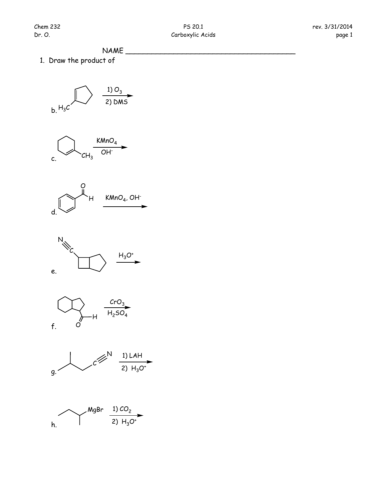## $NAME$

1. Draw the product of

$$
\bigcap_{b_1H_3C}\bigcap_{2)\text{ DMS}}
$$

$$
\bigcap_{C \in \mathcal{C}_{H_3}} \xrightarrow{K M n O_4} \rightarrow
$$









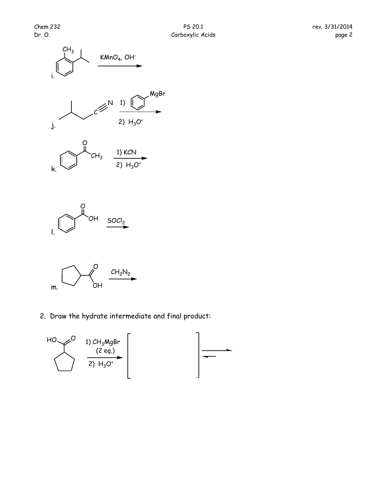





2. Draw the hydrate intermediate and final product:

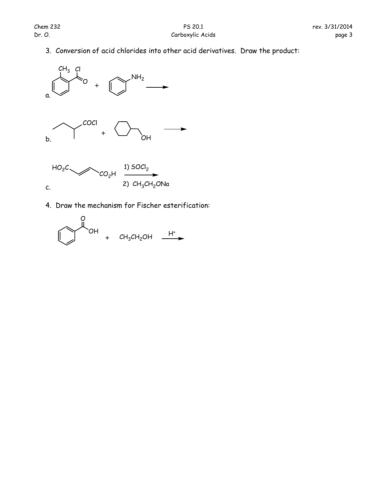3. Conversion of acid chlorides into other acid derivatives. Draw the product:



4. Draw the mechanism for Fischer esterification:

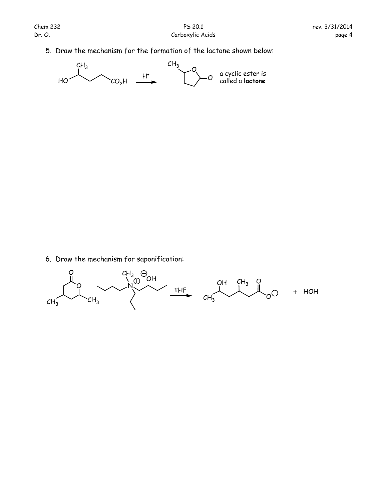5. Draw the mechanism for the formation of the lactone shown below:



6. Draw the mechanism for saponification: